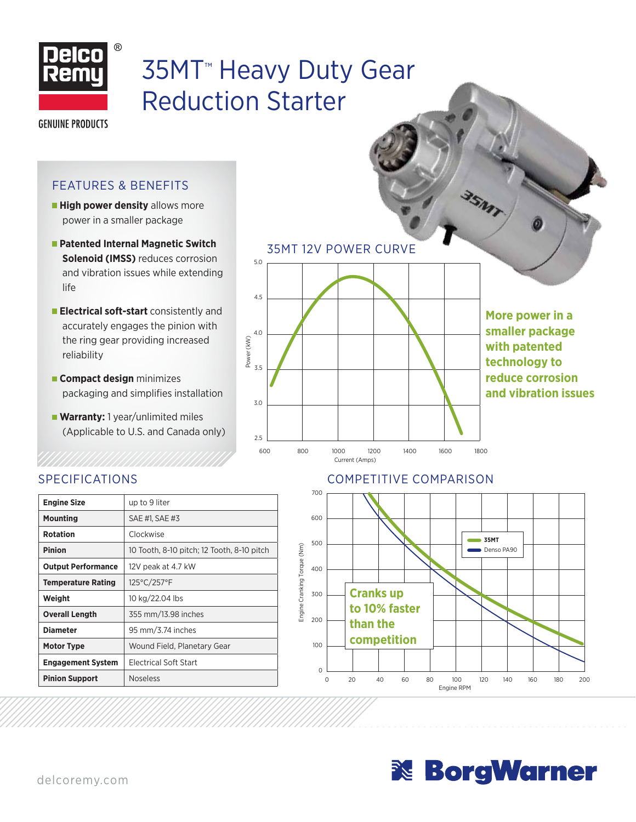

# 35MT™ Heavy Duty Gear Reduction Starter

**GENUINE PRODUCTS** 

#### FEATURES & BENEFITS

- **High power density** allows more power in a smaller package
- **Patented Internal Magnetic Switch Solenoid (IMSS)** reduces corrosion and vibration issues while extending life
- **Electrical soft-start** consistently and accurately engages the pinion with the ring gear providing increased reliability
- **Compact design** minimizes packaging and simplifies installation
- **Warranty:** 1 year/unlimited miles (Applicable to U.S. and Canada only)



35MT 12V POWER CURVE

**More power in a smaller package with patented technology to reduce corrosion and vibration issues**

## SPECIFICATIONS

| <b>Engine Size</b>        | up to 9 liter                              |  |  |
|---------------------------|--------------------------------------------|--|--|
| <b>Mounting</b>           | SAE #1. SAE #3                             |  |  |
| <b>Rotation</b>           | Clockwise                                  |  |  |
| <b>Pinion</b>             | 10 Tooth, 8-10 pitch; 12 Tooth, 8-10 pitch |  |  |
| <b>Output Performance</b> | 12V peak at 4.7 kW                         |  |  |
| <b>Temperature Rating</b> | 125°C/257°F                                |  |  |
| Weight                    | 10 kg/22.04 lbs                            |  |  |
| <b>Overall Length</b>     | 355 mm/13.98 inches                        |  |  |
| <b>Diameter</b>           | 95 mm/3.74 inches                          |  |  |
| Motor Type                | Wound Field, Planetary Gear                |  |  |
| <b>Engagement System</b>  | <b>Electrical Soft Start</b>               |  |  |
| <b>Pinion Support</b>     | <b>Noseless</b>                            |  |  |

## COMPETITIVE COMPARISON